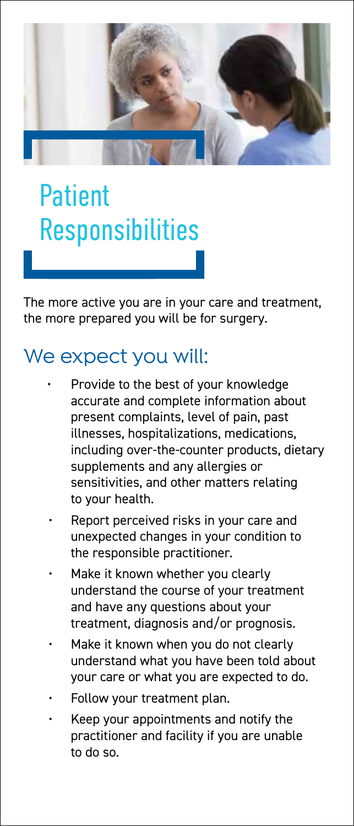

## Patient Responsibilities

The more active you are in your care and treatment, the more prepared you will be for surgery.

## We expect you will:

- Provide to the best of your knowledge accurate and complete information about present complaints, level of pain, past illnesses, hospitalizations, medications, including over-the-counter products, dietary supplements and any allergies or sensitivities, and other matters relating to your health.
- Report perceived risks in your care and unexpected changes in your condition to the responsible practitioner.
- Make it known whether you clearly understand the course of your treatment and have any questions about your treatment, diagnosis and/or prognosis.
- Make it known when you do not clearly understand what you have been told about your care or what you are expected to do.
- Follow your treatment plan.
- Keep your appointments and notify the practitioner and facility if you are unable to do so.